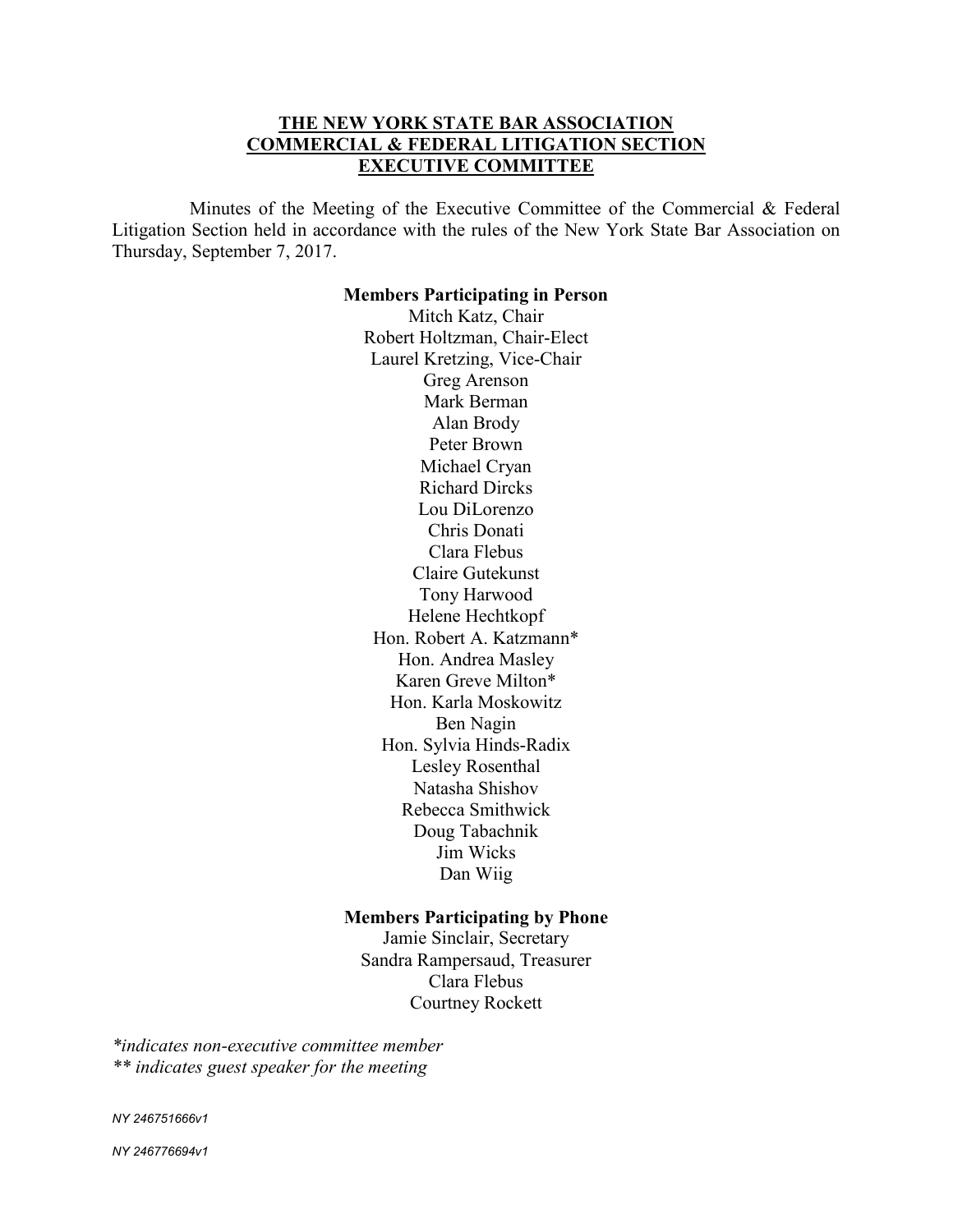# **THE NEW YORK STATE BAR ASSOCIATION COMMERCIAL & FEDERAL LITIGATION SECTION EXECUTIVE COMMITTEE**

 Minutes of the Meeting of the Executive Committee of the Commercial & Federal Litigation Section held in accordance with the rules of the New York State Bar Association on Thursday, September 7, 2017.

#### **Members Participating in Person**

Mitch Katz, Chair Robert Holtzman, Chair-Elect Laurel Kretzing, Vice-Chair Greg Arenson Mark Berman Alan Brody Peter Brown Michael Cryan Richard Dircks Lou DiLorenzo Chris Donati Clara Flebus Claire Gutekunst Tony Harwood Helene Hechtkopf Hon. Robert A. Katzmann\* Hon. Andrea Masley Karen Greve Milton\* Hon. Karla Moskowitz Ben Nagin Hon. Sylvia Hinds-Radix Lesley Rosenthal Natasha Shishov Rebecca Smithwick Doug Tabachnik Jim Wicks Dan Wiig

#### **Members Participating by Phone**

Jamie Sinclair, Secretary Sandra Rampersaud, Treasurer Clara Flebus Courtney Rockett

*\*indicates non-executive committee member \*\* indicates guest speaker for the meeting* 

*NY 246751666v1*

*NY 246776694v1*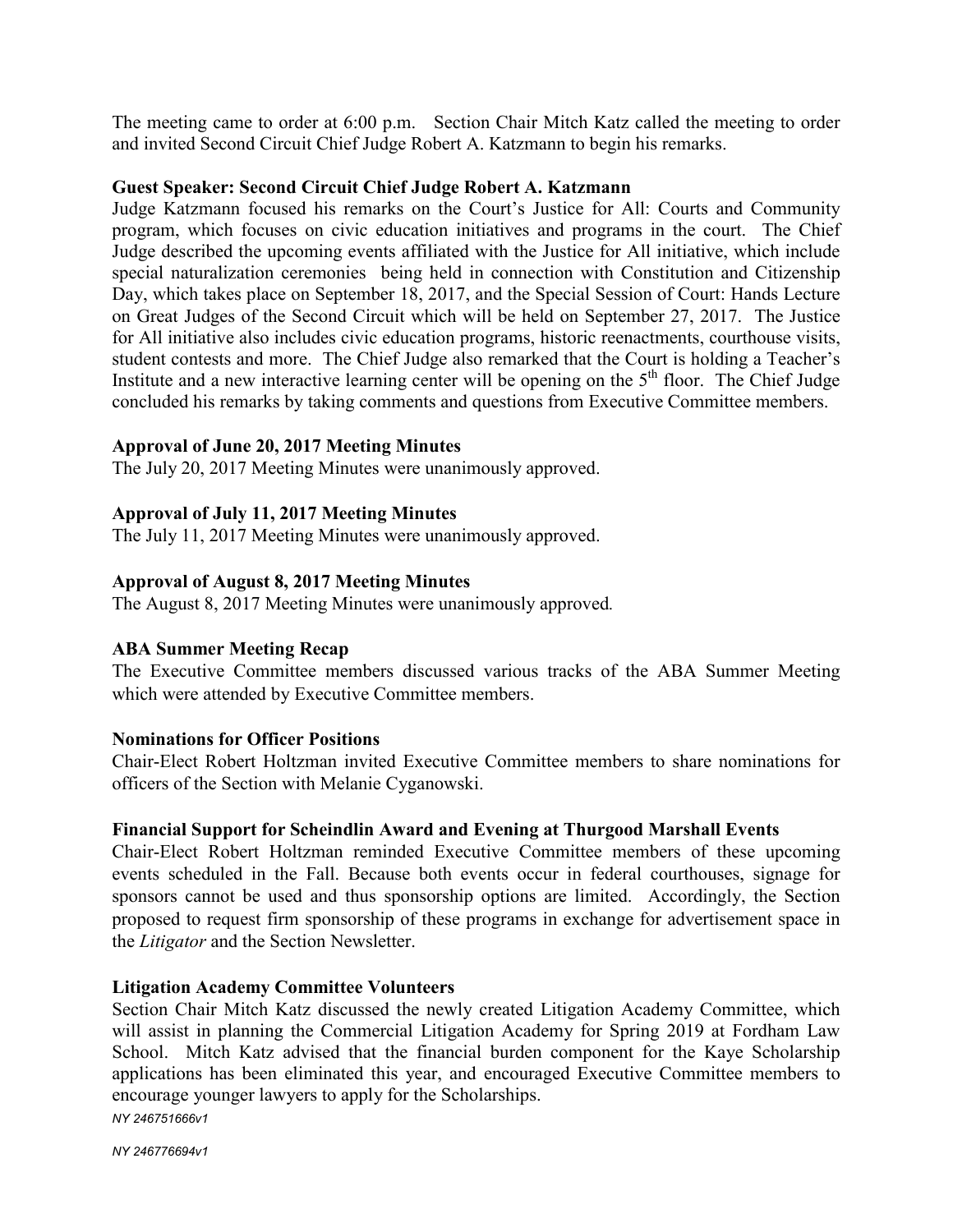The meeting came to order at 6:00 p.m. Section Chair Mitch Katz called the meeting to order and invited Second Circuit Chief Judge Robert A. Katzmann to begin his remarks.

## **Guest Speaker: Second Circuit Chief Judge Robert A. Katzmann**

Judge Katzmann focused his remarks on the Court's Justice for All: Courts and Community program, which focuses on civic education initiatives and programs in the court. The Chief Judge described the upcoming events affiliated with the Justice for All initiative, which include special naturalization ceremonies being held in connection with Constitution and Citizenship Day, which takes place on September 18, 2017, and the Special Session of Court: Hands Lecture on Great Judges of the Second Circuit which will be held on September 27, 2017. The Justice for All initiative also includes civic education programs, historic reenactments, courthouse visits, student contests and more. The Chief Judge also remarked that the Court is holding a Teacher's Institute and a new interactive learning center will be opening on the  $5<sup>th</sup>$  floor. The Chief Judge concluded his remarks by taking comments and questions from Executive Committee members.

# **Approval of June 20, 2017 Meeting Minutes**

The July 20, 2017 Meeting Minutes were unanimously approved.

# **Approval of July 11, 2017 Meeting Minutes**

The July 11, 2017 Meeting Minutes were unanimously approved.

### **Approval of August 8, 2017 Meeting Minutes**

The August 8, 2017 Meeting Minutes were unanimously approved*.*

# **ABA Summer Meeting Recap**

The Executive Committee members discussed various tracks of the ABA Summer Meeting which were attended by Executive Committee members.

### **Nominations for Officer Positions**

Chair-Elect Robert Holtzman invited Executive Committee members to share nominations for officers of the Section with Melanie Cyganowski.

# **Financial Support for Scheindlin Award and Evening at Thurgood Marshall Events**

Chair-Elect Robert Holtzman reminded Executive Committee members of these upcoming events scheduled in the Fall. Because both events occur in federal courthouses, signage for sponsors cannot be used and thus sponsorship options are limited. Accordingly, the Section proposed to request firm sponsorship of these programs in exchange for advertisement space in the *Litigator* and the Section Newsletter.

#### **Litigation Academy Committee Volunteers**

*NY 246751666v1* Section Chair Mitch Katz discussed the newly created Litigation Academy Committee, which will assist in planning the Commercial Litigation Academy for Spring 2019 at Fordham Law School. Mitch Katz advised that the financial burden component for the Kaye Scholarship applications has been eliminated this year, and encouraged Executive Committee members to encourage younger lawyers to apply for the Scholarships.

*NY 246776694v1*